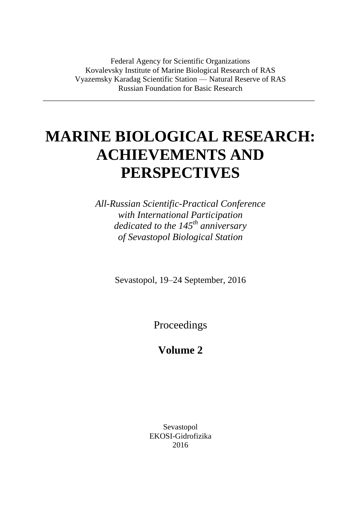Federal Agency for Scientific Organizations Kovalevsky Institute of Marine Biological Research of RAS Vyazemsky Karadag Scientific Station — Natural Reserve of RAS Russian Foundation for Basic Research

\_\_\_\_\_\_\_\_\_\_\_\_\_\_\_\_\_\_\_\_\_\_\_\_\_\_\_\_\_\_\_\_\_\_\_\_\_\_\_\_\_\_\_\_\_\_\_\_\_\_\_\_\_\_\_\_\_\_\_\_\_\_\_\_\_\_\_\_\_

# **MARINE BIOLOGICAL RESEARCH: ACHIEVEMENTS AND PERSPECTIVES**

*All-Russian Scientific-Practical Conference with International Participation dedicated to the 145th anniversary of Sevastopol Biological Station* 

Sevastopol, 19–24 September, 2016

Proceedings

# **Volume 2**

Sevastopol EKOSI-Gidrofizika 2016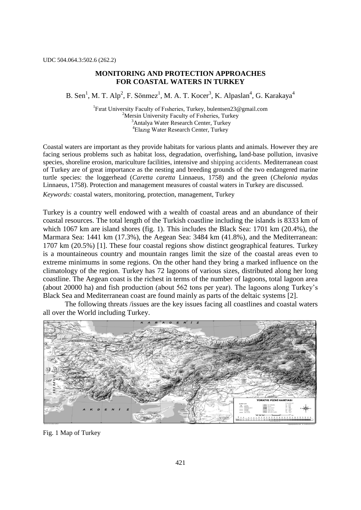## **MONITORING AND PROTECTION APPROACHES FOR COASTAL WATERS IN TURKEY**

B. Sen<sup>1</sup>, M. T. Alp<sup>2</sup>, F. Sönmez<sup>1</sup>, M. A. T. Kocer<sup>3</sup>, K. Alpaslan<sup>4</sup>, G. Karakaya<sup>4</sup>

<sup>1</sup>Firat University Faculty of Fisheries, Turkey, bulentsen23@gmail.com <sup>2</sup>Mersin University Faculty of Fisheries, Turkey <sup>3</sup>Antalya Water Research Center, Turkey <sup>4</sup>Elazıg Water Research Center, Turkey

Coastal waters are important as they provide habitats for various plants and animals. However they are facing serious problems such as habitat loss, degradation, overfishing**,** land-base pollution, invasive species, shoreline erosion, mariculture facilities, intensive and shipping accidents. Mediterranean coast of Turkey are of great importance as the nesting and breeding grounds of the two endangered marine turtle species: the loggerhead (*Caretta caretta* Linnaeus, 1758) and the green (*Chelonia mydas* Linnaeus, 1758). Protection and management measures of coastal waters in Turkey are discussed.

*Keywords:* coastal waters, monitoring, protection, management, Turkey

Turkey is a country well endowed with a wealth of coastal areas and an abundance of their coastal resources. The total length of the Turkish coastline including the islands is 8333 km of which 1067 km are island shores (fig. 1). This includes the Black Sea: 1701 km (20.4%), the Marmara Sea: 1441 km (17.3%), the Aegean Sea: 3484 km (41.8%), and the Mediterranean: 1707 km (20.5%) [1]. These four coastal regions show distinct geographical features. Turkey is a mountaineous country and mountain ranges limit the size of the coastal areas even to extreme minimums in some regions. On the other hand they bring a marked influence on the climatology of the region. Turkey has 72 lagoons of various sizes, distributed along her long coastline. The Aegean coast is the richest in terms of the number of lagoons, total lagoon area (about 20000 ha) and fish production (about 562 tons per year). The lagoons along Turkey"s Black Sea and Mediterranean coast are found mainly as parts of the deltaic systems [2].

The following threats /issues are the key issues facing all coastlines and coastal waters all over the World including Turkey.



Fig. 1 Map of Turkey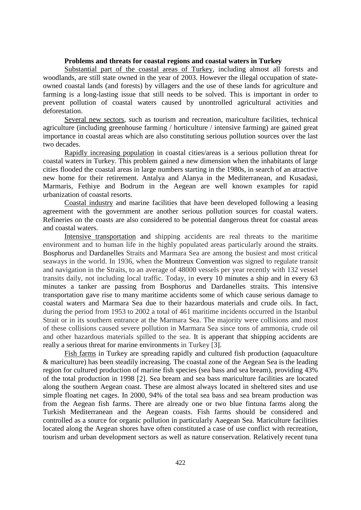#### **Problems and threats for coastal regions and coastal waters in Turkey**

Substantial part of the coastal areas of Turkey, including almost all forests and woodlands, are still state owned in the year of 2003. However the illegal occupation of stateowned coastal lands (and forests) by villagers and the use of these lands for agriculture and farming is a long-lasting issue that still needs to be solved. This is important in order to prevent pollution of coastal waters caused by unontrolled agricultural activities and deforestation.

Several new sectors, such as tourism and recreation, mariculture facilities, technical agriculture (including greenhouse farming / horticulture / intensive farming) are gained great importance in coastal areas which are also constituting serious pollution sources over the last two decades.

Rapidly increasing population in coastal cities/areas is a serious pollution threat for coastal waters in Turkey. This problem gained a new dimension when the inhabitants of large cities flooded the coastal areas in large numbers starting in the 1980s, in search of an atractive new home for their retirement. Antalya and Alanya in the Mediterranean, and Kusadasi, Marmaris, Fethiye and Bodrum in the Aegean are well known examples for rapid urbanization of coastal resorts.

Coastal industry and marine facilities that have been developed following a leasing agreement with the government are another serious pollution sources for coastal waters. Refineries on the coasts are also considered to be potential dangerous threat for coastal areas and coastal waters.

Intensive transportation and shipping accidents are real threats to the maritime environment and to human life in the highly populated areas particularly around the [straits.](https://en.wikipedia.org/wiki/Straits) [Bosphorus](https://en.wikipedia.org/wiki/Bosphorus) and [Dardanelles](https://en.wikipedia.org/wiki/Dardanelles) Straits and Marmara Sea are among the busiest and most critical seaways in the world. In 1936, when the [Montreux Convention](https://en.wikipedia.org/wiki/Montreux_Convention_Regarding_the_Regime_of_the_Turkish_Straits) was signed to regulate transit and navigation in the Straits, to an average of 48000 vessels per year recently with 132 vessel transits daily, not including local traffic. Today, in every 10 minutes a ship and in every 63 minutes a tanker are passing from Bosphorus and Dardanelles straits. This intensive transportation gave rise to many maritime accidents some of which cause serious damage to coastal waters and Marmara Sea due to their hazardous materials and crude oils. In fact, during the period from 1953 to 2002 a total of 461 maritime incidents occurred in the Istanbul Strait or in its southern entrance at the Marmara Sea. The majority were collisions and most of these collisions caused severe pollution in Marmara Sea since tons of ammonia, crude oil and other hazardous materials spilled to the sea. It is apperant that [shipping accidents](http://webcache.googleusercontent.com/search?q=cache:7aeHzphsmmgJ:www.blackmeditjournal.org/pdf/2006_vol12_no3-5.pdf+1991:+Rabunion+Madonna+Lili&hl=tr&ct=clnk&cd=11&gl=tr&client=firefox-a) are [really a serious threat for marine](http://webcache.googleusercontent.com/search?q=cache:7aeHzphsmmgJ:www.blackmeditjournal.org/pdf/2006_vol12_no3-5.pdf+1991:+Rabunion+Madonna+Lili&hl=tr&ct=clnk&cd=11&gl=tr&client=firefox-a) environments in Turkey [3].

Fish farms in Turkey are spreading rapidly and cultured fish production (aquaculture & mariculture) has been steadily increasing. The coastal zone of the Aegean Sea is the leading region for cultured production of marine fish species (sea bass and sea bream), providing 43% of the total production in 1998 [2]. Sea bream and sea bass mariculture facilities are located along the southern Aegean coast. These are almost always located in sheltered sites and use simple floating net cages. In 2000, 94% of the total sea bass and sea bream production was from the Aegean fish farms. There are already one or two blue fintuna farms along the Turkish Mediterranean and the Aegean coasts. Fish farms should be considered and controlled as a source for organic pollution in particularly Aaegean Sea. Mariculture facilities located along the Aegean shores have often constituted a case of use conflict with recreation, tourism and urban development sectors as well as nature conservation. Relatively recent tuna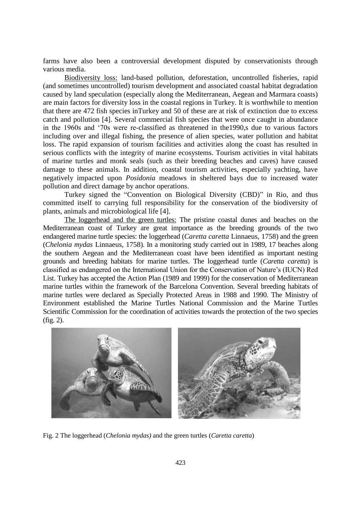farms have also been a controversial development disputed by conservationists through various media.

Biodiversity loss: land-based pollution, deforestation, uncontrolled fisheries, rapid (and sometimes uncontrolled) tourism development and associated coastal habitat degradation caused by land speculation (especially along the Mediterranean, Aegean and Marmara coasts) are main factors for diversity loss in the coastal regions in Turkey. It is worthwhile to mention that there are 472 fish species inTurkey and 50 of these are at risk of extinction due to excess catch and pollution [4]. Several commercial fish species that were once caught in abundance in the 1960s and "70s were re-classified as threatened in the1990,s due to various factors including over and illegal fishing, the presence of alien species, water pollution and habitat loss. The rapid expansion of tourism facilities and activities along the coast has resulted in serious conflicts with the integrity of marine ecosystems. Tourism activities in vital habitats of marine turtles and monk seals (such as their breeding beaches and caves) have caused damage to these animals. In addition, coastal tourism activities, especially yachting, have negatively impacted upon *Posidonia* meadows in sheltered bays due to increased water pollution and direct damage by anchor operations.

Turkey signed the "Convention on Biological Diversity (CBD)" in Rio, and thus committed itself to carrying full responsibility for the conservation of the biodiversity of plants, animals and microbiological life [4].

The loggerhead and the green turtles: The pristine coastal dunes and beaches on the Mediterranean coast of Turkey are great importance as the breeding grounds of the two endangered marine turtle species: the loggerhead (*Caretta caretta* Linnaeus, 1758) and the green (*Chelonia mydas* Linnaeus, 1758). In a monitoring study carried out in 1989, 17 beaches along the southern Aegean and the Mediterranean coast have been identified as important nesting grounds and breeding habitats for marine turtles. The loggerhead turtle (*Caretta caretta*) is classified as endangered on the International Union for the Conservation of Nature"s (IUCN) Red List. Turkey has accepted the Action Plan (1989 and 1999) for the conservation of Mediterranean marine turtles within the framework of the Barcelona Convention. Several breeding habitats of marine turtles were declared as Specially Protected Areas in 1988 and 1990. The Ministry of Environment established the Marine Turtles National Commission and the Marine Turtles Scientific Commission for the coordination of activities towards the protection of the two species (fig. 2).



Fig. 2 The loggerhead (*Chelonia mydas)* and the green turtles (*Caretta caretta*)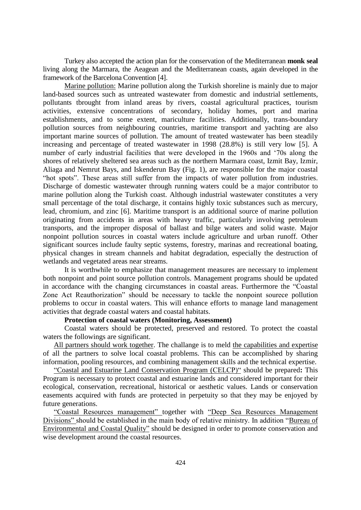Turkey also accepted the action plan for the conservation of the Mediterranean **monk seal** living along the Marmara, the Aeagean and the Mediterranean coasts, again developed in the framework of the Barcelona Convention [4].

Marine pollution: Marine pollution along the Turkish shoreline is mainly due to major land-based sources such as untreated wastewater from domestic and industrial settlements, pollutants tbrought from inland areas by rivers, coastal agricultural practices, tourism activities, extensive concentrations of secondary, holiday homes, port and marina establishments, and to some extent, mariculture facilities. Additionally, trans-boundary pollution sources from neighbouring countries, maritime transport and yachting are also important marine sources of pollution. The amount of treated wastewater has been steadily increasing and percentage of treated wastewater in 1998 (28.8%) is still very low [5]. A number of early industrial facilities that were developed in the 1960s and "70s along the shores of relatively sheltered sea areas such as the northern Marmara coast, Izmit Bay, Izmir, Aliaga and Nemrut Bays, and Iskenderun Bay (Fig. 1), are responsible for the major coastal "hot spots". These areas still suffer from the impacts of water pollution from industries. Discharge of domestic wastewater through running waters could be a major contributor to marine pollution along the Turkish coast. Although industrial wastewater constitutes a very small percentage of the total discharge, it contains highly toxic substances such as mercury, lead, chromium, and zinc [6]. Maritime transport is an additional source of marine pollution originating from accidents in areas with heavy traffic, particularly involving petroleum transports, and the improper disposal of ballast and bilge waters and solid waste. Major nonpoint pollution sources in coastal waters include agriculture and urban runoff. Other significant sources include faulty septic systems, forestry, marinas and recreational boating, physical changes in stream channels and habitat degradation, especially the destruction of wetlands and vegetated areas near streams.

It is worthwhile to emphasize that management measures are necessary to implement both nonpoint and point source pollution controls. Management programs should be updated in accordance with the changing circumstances in coastal areas. Furthermore the "Coastal Zone Act Reauthorization" should be necessary to tackle the nonpoint sourece pollution problems to occur in coastal waters. This will enhance efforts to manage land management activities that degrade coastal waters and coastal habitats.

#### **Protection of coastal waters (Monitoring, Assessment)**

Coastal waters should be protected, preserved and restored. To protect the coastal waters the followings are significant.

All partners should work together. The challange is to meld the capabilities and expertise of all the partners to solve local coastal problems. This can be accomplished by sharing information, pooling resources, and combining management skills and the technical expertise.

"Coastal and Estuarine Land Conservation Program (CELCP)" should be prepared**:** This Program is necessary to protect coastal and estuarine lands and considered important for their ecological, conservation, recreational, historical or aesthetic values. Lands or conservation easements acquired with funds are protected in perpetuity so that they may be enjoyed by future generations.

"Coastal Resources management" together with "Deep Sea Resources Management Divisions" should be established in the main body of relative ministry. In addition "Bureau of Environmental and Coastal Quality" should be designed in order to promote conservation and wise development around the coastal resources.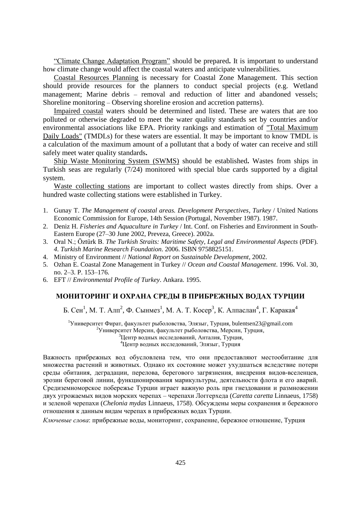"Climate Change Adaptation Program" should be prepared**.** It is important to understand how climate change would affect the coastal waters and anticipate vulnerabilities.

Coastal Resources Planning is necessary for Coastal Zone Management. This section should provide resources for the planners to conduct special projects (e.g. Wetland management; Marine debris – removal and reduction of litter and abandoned vessels; Shoreline monitoring – Observing shoreline erosion and accretion patterns).

Impaired coastal waters should be determined and listed. These are waters that are too polluted or otherwise degraded to meet the water quality standards set by countries and/or environmental associations like EPA. Priority rankings and estimation of "Total Maximum Daily Loads" (TMDLs) for these waters are essential. It may be important to know TMDL is a calculation of the maximum amount of a pollutant that a body of water can receive and still safely meet water quality standards**.**

Ship Waste Monitoring System (SWMS) should be established**.** Wastes from ships in Turkish seas are regularly (7/24) monitored with special blue cards supported by a digital system.

Waste collecting stations are important to collect wastes directly from ships. Over a hundred waste collecting stations were established in Turkey.

- 1. Gunay T. *The Management of coastal areas. Development Perspectives*, *Turkey* / United Nations Economic Commission for Europe, 14th Session (Portugal, November 1987). 1987.
- 2. Deniz H. *Fisheries and Aquaculture in Turkey* / Int. Conf. on Fisheries and Environment in South-Eastern Europe (27–30 June 2002, Preveza, Greece). 2002a.
- 3. Oral N.; Öztürk B. *[The Turkish Straits: Maritime Safety, Legal and Environmental Aspects](http://www.tudav.org/new/pdfs/turkish_straits_tudav.pdf)* (PDF). *4. Turkish Marine Research Foundation*. 2006. [ISBN](https://en.wikipedia.org/wiki/International_Standard_Book_Number) [9758825151.](https://en.wikipedia.org/wiki/Special:BookSources/9758825151)
- 4. Ministry of Environment // *National Report on Sustainable Development*, 2002.
- 5. Ozhan E. Coastal Zone Management in Turkey // *Ocean and Coastal Management*. 1996. Vol. 30, no. 2–3. P. 153–176.
- 6. EFT // *Environmental Profile of Turkey*. Ankara. 1995.

## **МОНИТОРИНГ И ОХРАНА СРЕДЫ В ПРИБРЕЖНЫХ ВОДАХ ТУРЦИИ**

Б. Сен<sup>1</sup>, М. Т. Алп<sup>2</sup>, Ф. Сынмез<sup>1</sup>, М. А. Т. Косер<sup>3</sup>, К. Алпаслан<sup>4</sup>, Г. Каракая<sup>4</sup>

<sup>1</sup>Университет Фират, факультет рыболовства, Элязыг, Турция, bulentsen23@gmail.com Университет Мерсин, факультет рыболовства, Мерсин, Турция, Центр водных исследований, Анталия, Турция, Центр водных исследований, Элязыг, Турция

Важность прибрежных вод обусловлена тем, что они предоставляют местообитание для множества растений и животных. Однако их состояние может ухудшаться вследствие потери среды обитания, деградации, перелова, берегового загрязнения, внедрения видов-вселенцев, эрозии береговой линии, функционирования марикультуры, деятельности флота и его аварий. Средиземноморское побережье Турции играет важную роль при гнездовании и размножении двух угрожаемых видов морских черепах – черепахи Логгерхеда (*Caretta caretta* Linnaeus, 1758) и зеленой черепахи (*Chelonia mydas* Linnaeus, 1758). Обсуждены меры сохранения и бережного отношения к данным видам черепах в прибрежных водах Турции.

*Ключевые слова*: прибрежные воды, мониторинг, сохранение, бережное отношение, Турция